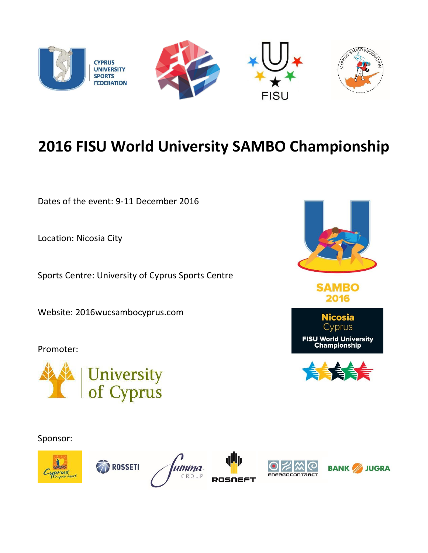

## **2016 FISU World University SAMBO Championship**

Dates of the event: 9-11 December 2016

Location: Nicosia City

Sports Centre: University of Cyprus Sports Centre

Website: 2016wucsambocyprus.com

Promoter:



Sponsor:















**SAMBO** 2016



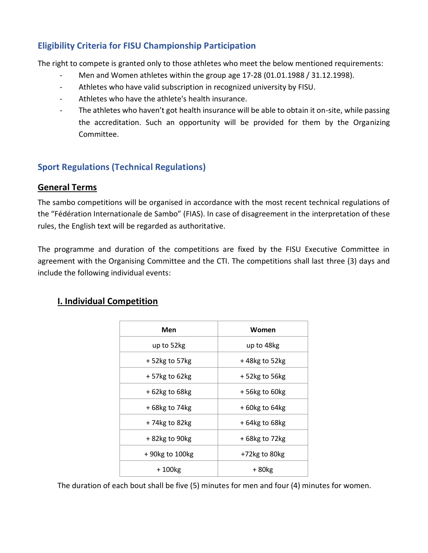### **Eligibility Criteria for FISU Championship Participation**

The right to compete is granted only to those athletes who meet the below mentioned requirements:

- Men and Women athletes within the group age 17-28 (01.01.1988 / 31.12.1998).
- Athletes who have valid subscription in recognized university by FISU.
- Athletes who have the athlete's health insurance.
- The athletes who haven't got health insurance will be able to obtain it on-site, while passing the accreditation. Such an opportunity will be provided for them by the Organizing Committee.

#### **Sport Regulations (Technical Regulations)**

#### **General Terms**

The sambo competitions will be organised in accordance with the most recent technical regulations of the "Fédération Internationale de Sambo" (FIAS). In case of disagreement in the interpretation of these rules, the English text will be regarded as authoritative.

The programme and duration of the competitions are fixed by the FISU Executive Committee in agreement with the Organising Committee and the CTI. The competitions shall last three (3) days and include the following individual events:

### **I. Individual Competition**

| Men               | Women            |  |
|-------------------|------------------|--|
| up to 52kg        | up to 48kg       |  |
| $+52$ kg to 57 kg | +48kg to 52kg    |  |
| $+57$ kg to 62kg  | +52kg to 56kg    |  |
| $+62$ kg to 68kg  | +56kg to 60kg    |  |
| +68kg to 74kg     | $+60$ kg to 64kg |  |
| $+74$ kg to 82kg  | $+64$ kg to 68kg |  |
| +82kg to 90kg     | +68kg to 72kg    |  |
| +90kg to 100kg    | +72kg to 80kg    |  |
| $+100kg$          | +80kg            |  |

The duration of each bout shall be five (5) minutes for men and four (4) minutes for women.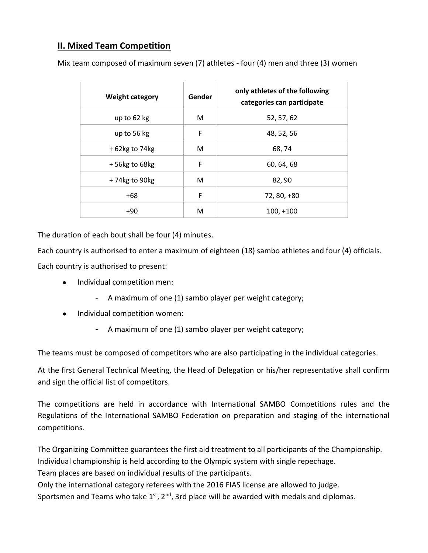### **II. Mixed Team Competition**

| <b>Weight category</b> | Gender | only athletes of the following<br>categories can participate |
|------------------------|--------|--------------------------------------------------------------|
| up to 62 kg            | М      | 52, 57, 62                                                   |
| up to 56 kg            | F      | 48, 52, 56                                                   |
| $+62$ kg to 74 kg      | М      | 68, 74                                                       |
| $+56$ kg to 68kg       | F      | 60, 64, 68                                                   |
| +74kg to 90kg          | М      | 82,90                                                        |
| $+68$                  | F      | 72, 80, +80                                                  |
| $+90$                  | м      | $100, +100$                                                  |

Mix team composed of maximum seven (7) athletes - four (4) men and three (3) women

The duration of each bout shall be four (4) minutes.

Each country is authorised to enter a maximum of eighteen (18) sambo athletes and four (4) officials. Each country is authorised to present:

- Individual competition men:
	- A maximum of one (1) sambo player per weight category;
- Individual competition women:
	- A maximum of one (1) sambo player per weight category;

The teams must be composed of competitors who are also participating in the individual categories.

At the first General Technical Meeting, the Head of Delegation or his/her representative shall confirm and sign the official list of competitors.

The competitions are held in accordance with International SAMBO Competitions rules and the Regulations of the International SAMBO Federation on preparation and staging of the international competitions.

The Organizing Committee guarantees the first aid treatment to all participants of the Championship. Individual championship is held according to the Olympic system with single repechage.

Team places are based on individual results of the participants.

Only the international category referees with the 2016 FIAS license are allowed to judge.

Sportsmen and Teams who take  $1<sup>st</sup>$ ,  $2<sup>nd</sup>$ , 3rd place will be awarded with medals and diplomas.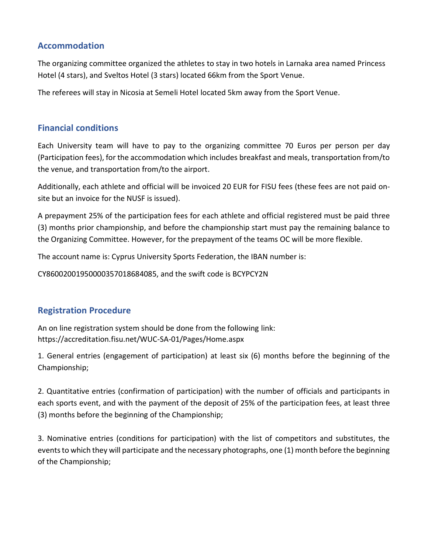#### **Accommodation**

The organizing committee organized the athletes to stay in two hotels in Larnaka area named Princess Hotel (4 stars), and Sveltos Hotel (3 stars) located 66km from the Sport Venue.

The referees will stay in Nicosia at Semeli Hotel located 5km away from the Sport Venue.

#### **Financial conditions**

Each University team will have to pay to the organizing committee 70 Euros per person per day (Participation fees), for the accommodation which includes breakfast and meals, transportation from/to the venue, and transportation from/to the airport.

Additionally, each athlete and official will be invoiced 20 EUR for FISU fees (these fees are not paid onsite but an invoice for the NUSF is issued).

A prepayment 25% of the participation fees for each athlete and official registered must be paid three (3) months prior championship, and before the championship start must pay the remaining balance to the Organizing Committee. However, for the prepayment of the teams OC will be more flexible.

The account name is: Cyprus University Sports Federation, the IBAN number is:

CY86002001950000357018684085, and the swift code is BCYPCY2N

#### **Registration Procedure**

An on line registration system should be done from the following link: <https://accreditation.fisu.net/WUC-SA-01/Pages/Home.aspx>

1. General entries (engagement of participation) at least six (6) months before the beginning of the Championship;

2. Quantitative entries (confirmation of participation) with the number of officials and participants in each sports event, and with the payment of the deposit of 25% of the participation fees, at least three (3) months before the beginning of the Championship;

3. Nominative entries (conditions for participation) with the list of competitors and substitutes, the events to which they will participate and the necessary photographs, one (1) month before the beginning of the Championship;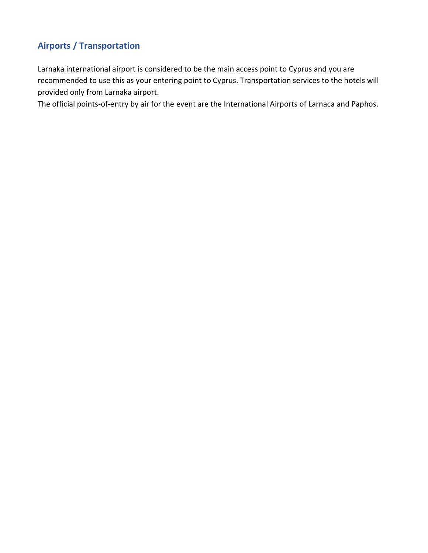## **Airports / Transportation**

[Larnaka international airport](http://www.cyprusairports.com.cy/) is considered to be the main access point to Cyprus and you are recommended to use this as your entering point to Cyprus. Transportation services to the hotels will provided only from Larnaka airport.

The official points-of-entry by air for the event are the International Airports of Larnaca and Paphos.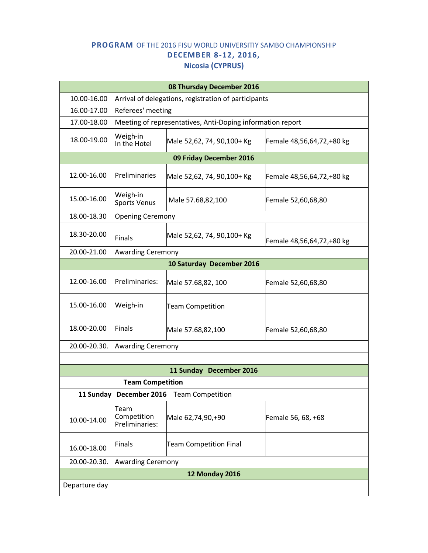#### **PROGRAM** OF THE 2016 FISU WORLD UNIVERSITIY SAMBO CHAMPIONSHIP **DECEMBER 8-12, 2016, Nicosia (CYPRUS)**

| 08 Thursday December 2016                          |                                       |                                                            |                           |  |  |
|----------------------------------------------------|---------------------------------------|------------------------------------------------------------|---------------------------|--|--|
| 10.00-16.00                                        |                                       | Arrival of delegations, registration of participants       |                           |  |  |
| 16.00-17.00                                        | Referees' meeting                     |                                                            |                           |  |  |
| 17.00-18.00                                        |                                       | Meeting of representatives, Anti-Doping information report |                           |  |  |
| 18.00-19.00                                        | Weigh-in<br>In the Hotel              | Male 52,62, 74, 90,100+ Kg                                 | Female 48,56,64,72,+80 kg |  |  |
|                                                    |                                       | 09 Friday December 2016                                    |                           |  |  |
| 12.00-16.00                                        | Preliminaries                         | Male 52,62, 74, 90,100+ Kg                                 | Female 48,56,64,72,+80 kg |  |  |
| 15.00-16.00                                        | Weigh-in<br><b>Sports Venus</b>       | Male 57.68,82,100                                          | Female 52,60,68,80        |  |  |
| 18.00-18.30<br><b>Opening Ceremony</b>             |                                       |                                                            |                           |  |  |
| 18.30-20.00                                        | Finals                                | Male 52,62, 74, 90,100+ Kg                                 | Female 48,56,64,72,+80 kg |  |  |
| 20.00-21.00<br><b>Awarding Ceremony</b>            |                                       |                                                            |                           |  |  |
| 10 Saturday December 2016                          |                                       |                                                            |                           |  |  |
| 12.00-16.00                                        | Preliminaries:                        | Male 57.68,82, 100                                         | Female 52,60,68,80        |  |  |
| 15.00-16.00                                        | Weigh-in                              | <b>Team Competition</b>                                    |                           |  |  |
| 18.00-20.00                                        | <b>Finals</b>                         | Male 57.68,82,100                                          | Female 52,60,68,80        |  |  |
| 20.00-20.30.<br><b>Awarding Ceremony</b>           |                                       |                                                            |                           |  |  |
|                                                    |                                       |                                                            |                           |  |  |
| 11 Sunday December 2016                            |                                       |                                                            |                           |  |  |
| <b>Team Competition</b>                            |                                       |                                                            |                           |  |  |
| 11 Sunday December 2016<br><b>Team Competition</b> |                                       |                                                            |                           |  |  |
| 10.00-14.00                                        | Team<br>Competition<br>Preliminaries: | Male 62,74,90,+90                                          | Female 56, 68, +68        |  |  |
| 16.00-18.00                                        | <b>Finals</b>                         | <b>Team Competition Final</b>                              |                           |  |  |
| <b>Awarding Ceremony</b><br>20.00-20.30.           |                                       |                                                            |                           |  |  |
| <b>12 Monday 2016</b>                              |                                       |                                                            |                           |  |  |
| Departure day                                      |                                       |                                                            |                           |  |  |